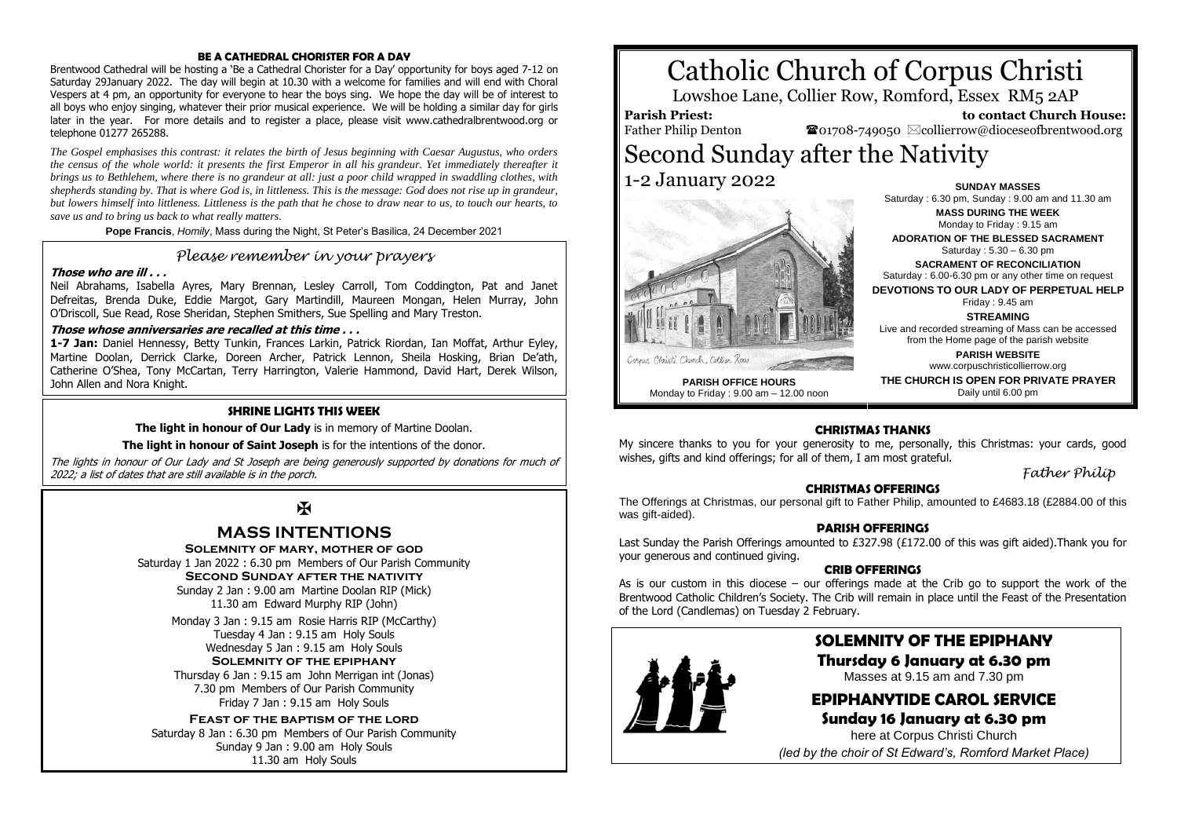#### **BE A CATHEDRAL CHORISTER FOR A DAY**

Brentwood Cathedral will be hosting a 'Be a Cathedral Chorister for a Day' opportunity for boys aged 7-12 on Saturday 29January 2022. The day will begin at 10.30 with a welcome for families and will end with Choral Vespers at 4 pm, an opportunity for everyone to hear the boys sing. We hope the day will be of interest to all boys who enjoy singing, whatever their prior musical experience. We will be holding a similar day for girls later in the year. For more details and to register a place, please visit www.cathedralbrentwood.org or telephone 01277 265288.

*The Gospel emphasises this contrast: it relates the birth of Jesus beginning with Caesar Augustus, who orders the census of the whole world: it presents the first Emperor in all his grandeur. Yet immediately thereafter it brings us to Bethlehem, where there is no grandeur at all: just a poor child wrapped in swaddling clothes, with shepherds standing by. That is where God is, in littleness. This is the message: God does not rise up in grandeur, but lowers himself into littleness. Littleness is the path that he chose to draw near to us, to touch our hearts, to save us and to bring us back to what really matters.*

**Pope Francis**, *Homily*, Mass during the Night, St Peter's Basilica, 24 December 2021

### *Please remember in your prayers*

#### **Those who are ill . . .**

Neil Abrahams, Isabella Ayres, Mary Brennan, Lesley Carroll, Tom Coddington, Pat and Janet Defreitas, Brenda Duke, Eddie Margot, Gary Martindill, Maureen Mongan, Helen Murray, John O'Driscoll, Sue Read, Rose Sheridan, Stephen Smithers, Sue Spelling and Mary Treston.

#### **Those whose anniversaries are recalled at this time . . .**

**1-7 Jan:** Daniel Hennessy, Betty Tunkin, Frances Larkin, Patrick Riordan, Ian Moffat, Arthur Eyley, Martine Doolan, Derrick Clarke, Doreen Archer, Patrick Lennon, Sheila Hosking, Brian De'ath, Catherine O'Shea, Tony McCartan, Terry Harrington, Valerie Hammond, David Hart, Derek Wilson, John Allen and Nora Knight.

#### **SHRINE LIGHTS THIS WEEK**

**The light in honour of Our Lady** is in memory of Martine Doolan.

**The light in honour of Saint Joseph** is for the intentions of the donor.

The lights in honour of Our Lady and St Joseph are being generously supported by donations for much of 2022; a list of dates that are still available is in the porch.

# $\mathbf F$

## **MASS INTENTIONS**

**Solemnity of mary, mother of god**

Saturday 1 Jan 2022 : 6.30 pm Members of Our Parish Community **Second Sunday after the nativity** Sunday 2 Jan : 9.00 am Martine Doolan RIP (Mick) 11.30 am Edward Murphy RIP (John)

Monday 3 Jan : 9.15 am Rosie Harris RIP (McCarthy) Tuesday 4 Jan : 9.15 am Holy Souls Wednesday 5 Jan : 9.15 am Holy Souls **Solemnity of the epiphany**

Thursday 6 Jan : 9.15 am John Merrigan int (Jonas) 7.30 pm Members of Our Parish Community Friday 7 Jan : 9.15 am Holy Souls

#### **Feast of the baptism of the lord**

Saturday 8 Jan : 6.30 pm Members of Our Parish Community Sunday 9 Jan : 9.00 am Holy Souls 11.30 am Holy Souls

# Catholic Church of Corpus Christi

Lowshoe Lane, Collier Row, Romford, Essex RM5 2AP

## **Parish Priest:**

Father Philip Denton

 **to contact Church House:**  $\bullet$ 01708-749050  $\boxtimes$ collierrow@dioceseofbrentwood.org

# Second Sunday after the Nativity 1-2 January 2022 **SUNDAY MASSES**



**PARISH OFFICE HOURS** Monday to Friday : 9.00 am – 12.00 noon

**MASS DURING THE WEEK** Monday to Friday : 9.15 am **ADORATION OF THE BLESSED SACRAMENT** Saturday : 5.30 – 6.30 pm **SACRAMENT OF RECONCILIATION** Saturday : 6.00-6.30 pm or any other time on request **DEVOTIONS TO OUR LADY OF PERPETUAL HELP** Friday : 9.45 am **STREAMING**

Saturday : 6.30 pm, Sunday : 9.00 am and 11.30 am

Live and recorded streaming of Mass can be accessed from the Home page of the parish website **PARISH WEBSITE**

www.corpuschristicollierrow.org

**THE CHURCH IS OPEN FOR PRIVATE PRAYER** Daily until 6.00 pm

#### **CHRISTMAS THANKS**

My sincere thanks to you for your generosity to me, personally, this Christmas: your cards, good wishes, gifts and kind offerings; for all of them. I am most grateful.

*Father Philip*

#### **CHRISTMAS OFFERINGS**

The Offerings at Christmas, our personal gift to Father Philip, amounted to £4683.18 (£2884.00 of this was gift-aided).

#### **PARISH OFFERINGS**

Last Sunday the Parish Offerings amounted to £327.98 (£172.00 of this was gift aided).Thank you for your generous and continued giving.

#### **CRIB OFFERINGS**

As is our custom in this diocese – our offerings made at the Crib go to support the work of the Brentwood Catholic Children's Society. The Crib will remain in place until the Feast of the Presentation of the Lord (Candlemas) on Tuesday 2 February.



## **SOLEMNITY OF THE EPIPHANY**

**Thursday 6 January at 6.30 pm** Masses at 9.15 am and 7.30 pm

# **EPIPHANYTIDE CAROL SERVICE**

**Sunday 16 January at 6.30 pm** here at Corpus Christi Church *(led by the choir of St Edward's, Romford Market Place)*